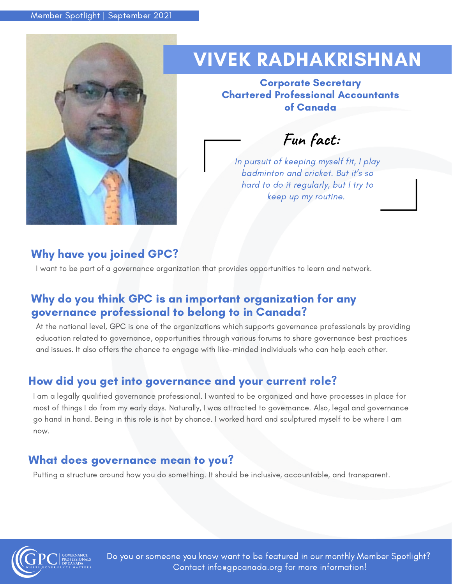

## VIVEK RADHAKRISHNAN

Corporate Secretary Chartered Professional Accountants of Canada

**Fun fact:**

In pursuit of keeping myself fit, I play badminton and cricket. But it's so hard to do it regularly, but I try to keep up my routine.

## Why have you joined GPC?

I want to be part of a governance organization that provides opportunities to learn and network.

## Why do you think GPC is an important organization for any governance professional to belong to in Canada?

At the national level, GPC is one of the organizations which supports governance professionals by providing education related to governance, opportunities through various forums to share governance best practices and issues. It also offers the chance to engage with like-minded individuals who can help each other.

## How did you get into governance and your current role?

I am a legally qualified governance professional. I wanted to be organized and have processes in place for most of things I do from my early days. Naturally, I was attracted to governance. Also, legal and governance go hand in hand. Being in this role is not by chance. I worked hard and sculptured myself to be where I am now.

### What does governance mean to you?

Putting a structure around how you do something. It should be inclusive, accountable, and transparent.



Do you or someone you know want to be featured in our monthly Member Spotlight? Contact info@gpcanada.org for more information!